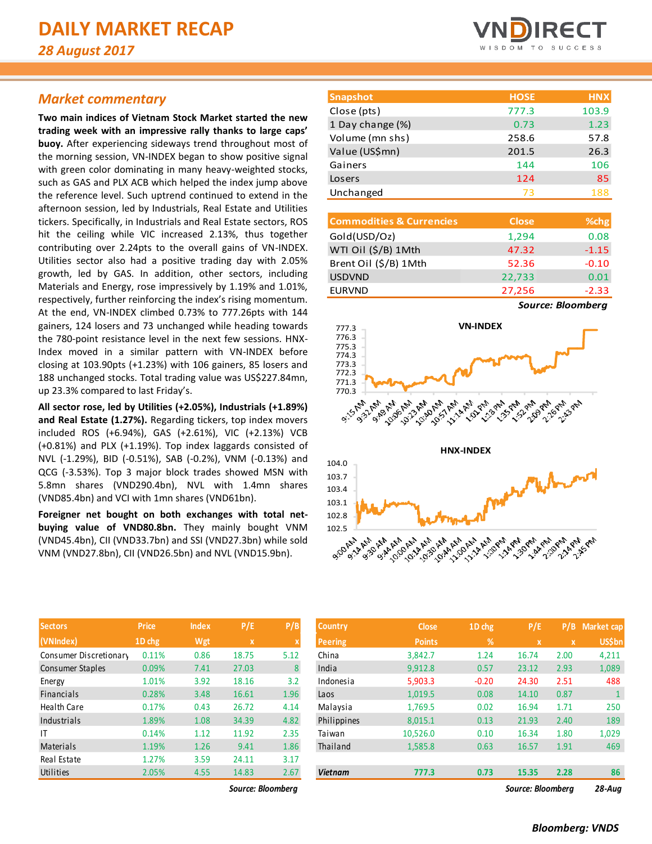# *Market commentary*

**Two main indices of Vietnam Stock Market started the new trading week with an impressive rally thanks to large caps' buoy.** After experiencing sideways trend throughout most of the morning session, VN-INDEX began to show positive signal with green color dominating in many heavy-weighted stocks, such as GAS and PLX ACB which helped the index jump above the reference level. Such uptrend continued to extend in the afternoon session, led by Industrials, Real Estate and Utilities tickers. Specifically, in Industrials and Real Estate sectors, ROS hit the ceiling while VIC increased 2.13%, thus together contributing over 2.24pts to the overall gains of VN-INDEX. Utilities sector also had a positive trading day with 2.05% growth, led by GAS. In addition, other sectors, including Materials and Energy, rose impressively by 1.19% and 1.01%, respectively, further reinforcing the index's rising momentum. At the end, VN-INDEX climbed 0.73% to 777.26pts with 144 gainers, 124 losers and 73 unchanged while heading towards the 780-point resistance level in the next few sessions. HNX-Index moved in a similar pattern with VN-INDEX before closing at 103.90pts (+1.23%) with 106 gainers, 85 losers and 188 unchanged stocks. Total trading value was US\$227.84mn, up 23.3% compared to last Friday's.

**All sector rose, led by Utilities (+2.05%), Industrials (+1.89%) and Real Estate (1.27%).** Regarding tickers, top index movers included ROS (+6.94%), GAS (+2.61%), VIC (+2.13%) VCB (+0.81%) and PLX (+1.19%). Top index laggards consisted of NVL (-1.29%), BID (-0.51%), SAB (-0.2%), VNM (-0.13%) and QCG (-3.53%). Top 3 major block trades showed MSN with 5.8mn shares (VND290.4bn), NVL with 1.4mn shares (VND85.4bn) and VCI with 1mn shares (VND61bn).

**Foreigner net bought on both exchanges with total netbuying value of VND80.8bn.** They mainly bought VNM (VND45.4bn), CII (VND33.7bn) and SSI (VND27.3bn) while sold VNM (VND27.8bn), CII (VND26.5bn) and NVL (VND15.9bn).

| <b>VNDIRECT</b> |  |  |  |                   |  |  |  |  |  |
|-----------------|--|--|--|-------------------|--|--|--|--|--|
|                 |  |  |  | WISDOM TO SUCCESS |  |  |  |  |  |

| <b>Snapshot</b>  | <b>HOSE</b> | <b>HNX</b> |
|------------------|-------------|------------|
| Close (pts)      | 777.3       | 103.9      |
| 1 Day change (%) | 0.73        | 1.23       |
| Volume (mn shs)  | 258.6       | 57.8       |
| Value (US\$mn)   | 201.5       | 26.3       |
| Gainers          | 144         | 106        |
| Losers           | 124         | 85         |
| Unchanged        | 73          | 188        |

| <b>Commodities &amp; Currencies</b> | <b>Close</b> | %chg          |
|-------------------------------------|--------------|---------------|
| Gold(USD/Oz)                        | 1,294        | 0.08          |
| WTI Oil (\$/B) 1Mth                 | 47.32        | $-1.15$       |
| Brent Oil (\$/B) 1Mth               | 52.36        | $-0.10$       |
| <b>USDVND</b>                       | 22,733       | 0.01          |
| <b>EURVND</b>                       | 27,256       | $-2.33$       |
|                                     |              | $\sim$ $\sim$ |

*Source: Bloomberg*



| <b>Sectors</b>         | <b>Price</b> | <b>Index</b> | P/E         | P/B  |
|------------------------|--------------|--------------|-------------|------|
| (VNIndex)              | 1D chg       | Wgt          | $\mathbf x$ | X    |
| Consumer Discretionary | 0.11%        | 0.86         | 18.75       | 5.12 |
| Consumer Staples       | 0.09%        | 7.41         | 27.03       | 8    |
| Energy                 | 1.01%        | 3.92         | 18.16       | 3.2  |
| Financials             | 0.28%        | 3.48         | 16.61       | 1.96 |
| <b>Health Care</b>     | 0.17%        | 0.43         | 26.72       | 4.14 |
| Industrials            | 1.89%        | 1.08         | 34.39       | 4.82 |
| IT                     | 0.14%        | 1.12         | 11.92       | 2.35 |
| Materials              | 1.19%        | 1.26         | 9.41        | 1.86 |
| Real Estate            | 1.27%        | 3.59         | 24.11       | 3.17 |
| Utilities              | 2.05%        | 4.55         | 14.83       | 2.67 |

| <b>Sectors</b>         | <b>Price</b> | <b>Index</b> | P/E               | P/B  | <b>Country</b> | <b>Close</b>  | $1D$ chg | P/E               | P/B          | Market cap    |
|------------------------|--------------|--------------|-------------------|------|----------------|---------------|----------|-------------------|--------------|---------------|
| (VNIndex)              | 1D chg       | Wgt          | $\mathbf{x}$      |      | <b>Peering</b> | <b>Points</b> | %        | $\mathbf{x}$      | $\mathbf{x}$ | <b>US\$bn</b> |
| Consumer Discretionary | 0.11%        | 0.86         | 18.75             | 5.12 | China          | 3,842.7       | 1.24     | 16.74             | 2.00         | 4,211         |
| Consumer Staples       | 0.09%        | 7.41         | 27.03             | 8    | India          | 9,912.8       | 0.57     | 23.12             | 2.93         | 1,089         |
| Energy                 | 1.01%        | 3.92         | 18.16             | 3.2  | Indonesia      | 5,903.3       | $-0.20$  | 24.30             | 2.51         | 488           |
| Financials             | 0.28%        | 3.48         | 16.61             | 1.96 | Laos           | 1,019.5       | 0.08     | 14.10             | 0.87         |               |
| Health Care            | 0.17%        | 0.43         | 26.72             | 4.14 | Malaysia       | 1,769.5       | 0.02     | 16.94             | 1.71         | 250           |
| Industrials            | 1.89%        | 1.08         | 34.39             | 4.82 | Philippines    | 8,015.1       | 0.13     | 21.93             | 2.40         | 189           |
|                        | 0.14%        | 1.12         | 11.92             | 2.35 | Taiwan         | 10,526.0      | 0.10     | 16.34             | 1.80         | 1,029         |
| Materials              | 1.19%        | 1.26         | 9.41              | 1.86 | Thailand       | 1,585.8       | 0.63     | 16.57             | 1.91         | 469           |
| Real Estate            | 1.27%        | 3.59         | 24.11             | 3.17 |                |               |          |                   |              |               |
| Utilities              | 2.05%        | 4.55         | 14.83             | 2.67 | <b>Vietnam</b> | 777.3         | 0.73     | 15.35             | 2.28         | 86            |
|                        |              |              | Source: Bloomberg |      |                |               |          | Source: Bloomberg |              | $28 - Aug$    |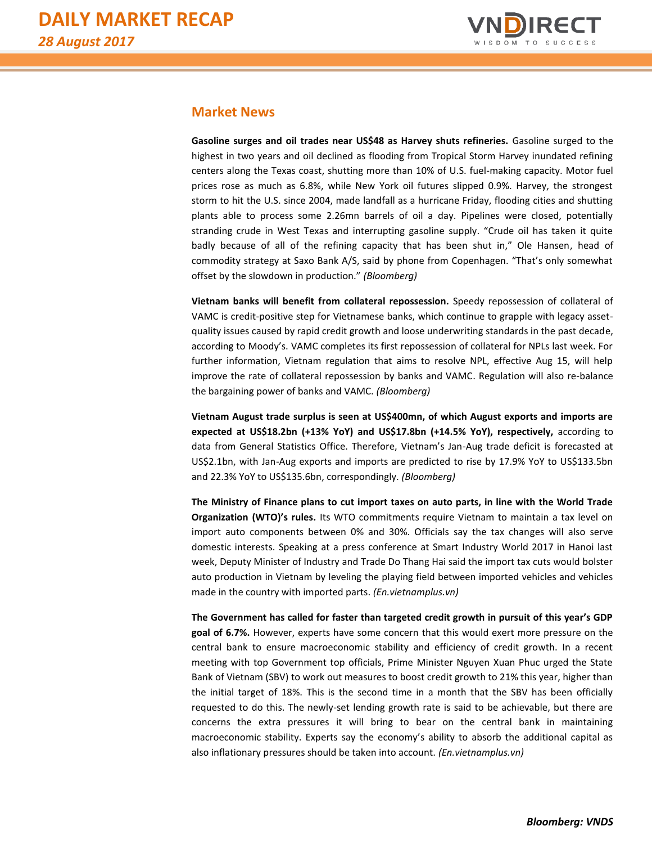

# **Market News**

**Gasoline surges and oil trades near US\$48 as Harvey shuts refineries.** Gasoline surged to the highest in two years and oil declined as flooding from Tropical Storm Harvey inundated refining centers along the Texas coast, shutting more than 10% of U.S. fuel-making capacity. Motor fuel prices rose as much as 6.8%, while New York oil futures slipped 0.9%. Harvey, the strongest storm to hit the U.S. since 2004, made landfall as a hurricane Friday, flooding cities and shutting plants able to process some 2.26mn barrels of oil a day. Pipelines were closed, potentially stranding crude in West Texas and interrupting gasoline supply. "Crude oil has taken it quite badly because of all of the refining capacity that has been shut in," Ole Hansen, head of commodity strategy at Saxo Bank A/S, said by phone from Copenhagen. "That's only somewhat offset by the slowdown in production." *(Bloomberg)*

**Vietnam banks will benefit from collateral repossession.** Speedy repossession of collateral of VAMC is credit-positive step for Vietnamese banks, which continue to grapple with legacy assetquality issues caused by rapid credit growth and loose underwriting standards in the past decade, according to Moody's. VAMC completes its first repossession of collateral for NPLs last week. For further information, Vietnam regulation that aims to resolve NPL, effective Aug 15, will help improve the rate of collateral repossession by banks and VAMC. Regulation will also re-balance the bargaining power of banks and VAMC. *(Bloomberg)*

**Vietnam August trade surplus is seen at US\$400mn, of which August exports and imports are expected at US\$18.2bn (+13% YoY) and US\$17.8bn (+14.5% YoY), respectively,** according to data from General Statistics Office. Therefore, Vietnam's Jan-Aug trade deficit is forecasted at US\$2.1bn, with Jan-Aug exports and imports are predicted to rise by 17.9% YoY to US\$133.5bn and 22.3% YoY to US\$135.6bn, correspondingly. *(Bloomberg)*

**The Ministry of Finance plans to cut import taxes on auto parts, in line with the World Trade Organization (WTO)'s rules.** Its WTO commitments require Vietnam to maintain a tax level on import auto components between 0% and 30%. Officials say the tax changes will also serve domestic interests. Speaking at a press conference at Smart Industry World 2017 in Hanoi last week, Deputy Minister of Industry and Trade Do Thang Hai said the import tax cuts would bolster auto production in Vietnam by leveling the playing field between imported vehicles and vehicles made in the country with imported parts. *(En.vietnamplus.vn)*

**The Government has called for faster than targeted credit growth in pursuit of this year's GDP goal of 6.7%.** However, experts have some concern that this would exert more pressure on the central bank to ensure macroeconomic stability and efficiency of credit growth. In a recent meeting with top Government top officials, Prime Minister Nguyen Xuan Phuc urged the State Bank of Vietnam (SBV) to work out measures to boost credit growth to 21% this year, higher than the initial target of 18%. This is the second time in a month that the SBV has been officially requested to do this. The newly-set lending growth rate is said to be achievable, but there are concerns the extra pressures it will bring to bear on the central bank in maintaining macroeconomic stability. Experts say the economy's ability to absorb the additional capital as also inflationary pressures should be taken into account. *(En.vietnamplus.vn)*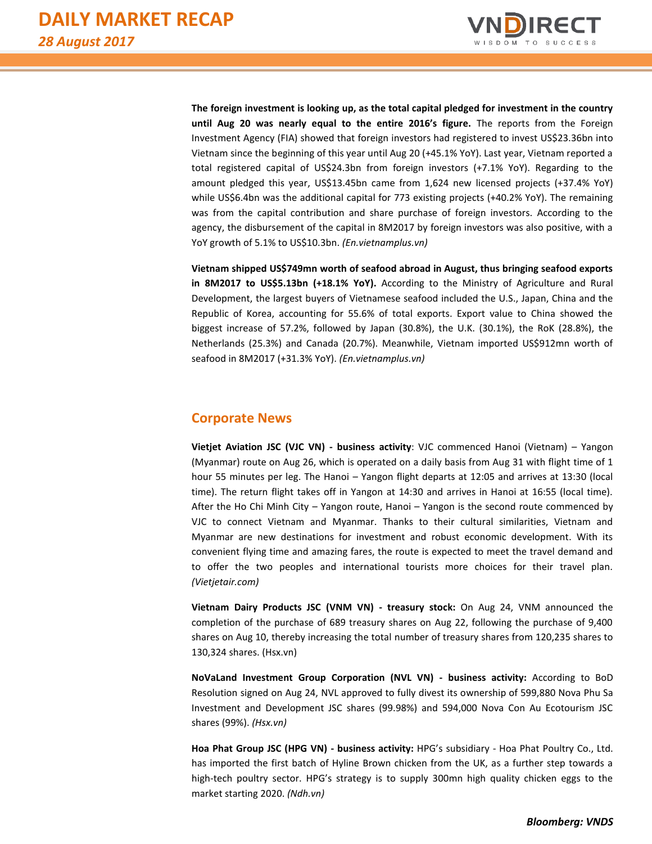

**The foreign investment is looking up, as the total capital pledged for investment in the country until Aug 20 was nearly equal to the entire 2016's figure.** The reports from the Foreign Investment Agency (FIA) showed that foreign investors had registered to invest US\$23.36bn into Vietnam since the beginning of this year until Aug 20 (+45.1% YoY). Last year, Vietnam reported a total registered capital of US\$24.3bn from foreign investors (+7.1% YoY). Regarding to the amount pledged this year, US\$13.45bn came from 1,624 new licensed projects (+37.4% YoY) while US\$6.4bn was the additional capital for 773 existing projects (+40.2% YoY). The remaining was from the capital contribution and share purchase of foreign investors. According to the agency, the disbursement of the capital in 8M2017 by foreign investors was also positive, with a YoY growth of 5.1% to US\$10.3bn. *(En.vietnamplus.vn)*

**Vietnam shipped US\$749mn worth of seafood abroad in August, thus bringing seafood exports in 8M2017 to US\$5.13bn (+18.1% YoY).** According to the Ministry of Agriculture and Rural Development, the largest buyers of Vietnamese seafood included the U.S., Japan, China and the Republic of Korea, accounting for 55.6% of total exports. Export value to China showed the biggest increase of 57.2%, followed by Japan (30.8%), the U.K. (30.1%), the RoK (28.8%), the Netherlands (25.3%) and Canada (20.7%). Meanwhile, Vietnam imported US\$912mn worth of seafood in 8M2017 (+31.3% YoY). *(En.vietnamplus.vn)*

# **Corporate News**

**Vietjet Aviation JSC (VJC VN) - business activity**: VJC commenced Hanoi (Vietnam) – Yangon (Myanmar) route on Aug 26, which is operated on a daily basis from Aug 31 with flight time of 1 hour 55 minutes per leg. The Hanoi – Yangon flight departs at 12:05 and arrives at 13:30 (local time). The return flight takes off in Yangon at 14:30 and arrives in Hanoi at 16:55 (local time). After the Ho Chi Minh City – Yangon route, Hanoi – Yangon is the second route commenced by VJC to connect Vietnam and Myanmar. Thanks to their cultural similarities, Vietnam and Myanmar are new destinations for investment and robust economic development. With its convenient flying time and amazing fares, the route is expected to meet the travel demand and to offer the two peoples and international tourists more choices for their travel plan. *(Vietjetair.com)*

**Vietnam Dairy Products JSC (VNM VN) - treasury stock:** On Aug 24, VNM announced the completion of the purchase of 689 treasury shares on Aug 22, following the purchase of 9,400 shares on Aug 10, thereby increasing the total number of treasury shares from 120,235 shares to 130,324 shares. (Hsx.vn)

**NoVaLand Investment Group Corporation (NVL VN) - business activity:** According to BoD Resolution signed on Aug 24, NVL approved to fully divest its ownership of 599,880 Nova Phu Sa Investment and Development JSC shares (99.98%) and 594,000 Nova Con Au Ecotourism JSC shares (99%). *(Hsx.vn)*

**Hoa Phat Group JSC (HPG VN) - business activity:** HPG's subsidiary - Hoa Phat Poultry Co., Ltd. has imported the first batch of Hyline Brown chicken from the UK, as a further step towards a high-tech poultry sector. HPG's strategy is to supply 300mn high quality chicken eggs to the market starting 2020. *(Ndh.vn)*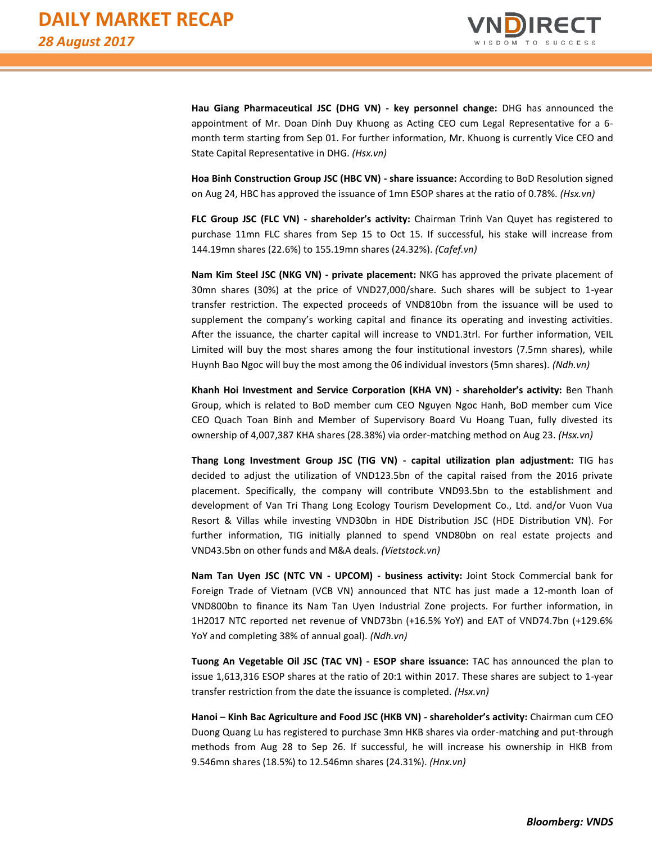

**Hau Giang Pharmaceutical JSC (DHG VN) - key personnel change:** DHG has announced the appointment of Mr. Doan Dinh Duy Khuong as Acting CEO cum Legal Representative for a 6 month term starting from Sep 01. For further information, Mr. Khuong is currently Vice CEO and State Capital Representative in DHG. *(Hsx.vn)*

**Hoa Binh Construction Group JSC (HBC VN) - share issuance:** According to BoD Resolution signed on Aug 24, HBC has approved the issuance of 1mn ESOP shares at the ratio of 0.78%. *(Hsx.vn)*

**FLC Group JSC (FLC VN) - shareholder's activity:** Chairman Trinh Van Quyet has registered to purchase 11mn FLC shares from Sep 15 to Oct 15. If successful, his stake will increase from 144.19mn shares (22.6%) to 155.19mn shares (24.32%). *(Cafef.vn)*

**Nam Kim Steel JSC (NKG VN) - private placement:** NKG has approved the private placement of 30mn shares (30%) at the price of VND27,000/share. Such shares will be subject to 1-year transfer restriction. The expected proceeds of VND810bn from the issuance will be used to supplement the company's working capital and finance its operating and investing activities. After the issuance, the charter capital will increase to VND1.3trl. For further information, VEIL Limited will buy the most shares among the four institutional investors (7.5mn shares), while Huynh Bao Ngoc will buy the most among the 06 individual investors (5mn shares). *(Ndh.vn)*

**Khanh Hoi Investment and Service Corporation (KHA VN) - shareholder's activity:** Ben Thanh Group, which is related to BoD member cum CEO Nguyen Ngoc Hanh, BoD member cum Vice CEO Quach Toan Binh and Member of Supervisory Board Vu Hoang Tuan, fully divested its ownership of 4,007,387 KHA shares (28.38%) via order-matching method on Aug 23. *(Hsx.vn)*

**Thang Long Investment Group JSC (TIG VN) - capital utilization plan adjustment:** TIG has decided to adjust the utilization of VND123.5bn of the capital raised from the 2016 private placement. Specifically, the company will contribute VND93.5bn to the establishment and development of Van Tri Thang Long Ecology Tourism Development Co., Ltd. and/or Vuon Vua Resort & Villas while investing VND30bn in HDE Distribution JSC (HDE Distribution VN). For further information, TIG initially planned to spend VND80bn on real estate projects and VND43.5bn on other funds and M&A deals. *(Vietstock.vn)*

**Nam Tan Uyen JSC (NTC VN - UPCOM) - business activity:** Joint Stock Commercial bank for Foreign Trade of Vietnam (VCB VN) announced that NTC has just made a 12-month loan of VND800bn to finance its Nam Tan Uyen Industrial Zone projects. For further information, in 1H2017 NTC reported net revenue of VND73bn (+16.5% YoY) and EAT of VND74.7bn (+129.6% YoY and completing 38% of annual goal). *(Ndh.vn)*

**Tuong An Vegetable Oil JSC (TAC VN) - ESOP share issuance:** TAC has announced the plan to issue 1,613,316 ESOP shares at the ratio of 20:1 within 2017. These shares are subject to 1-year transfer restriction from the date the issuance is completed. *(Hsx.vn)*

**Hanoi – Kinh Bac Agriculture and Food JSC (HKB VN) - shareholder's activity:** Chairman cum CEO Duong Quang Lu has registered to purchase 3mn HKB shares via order-matching and put-through methods from Aug 28 to Sep 26. If successful, he will increase his ownership in HKB from 9.546mn shares (18.5%) to 12.546mn shares (24.31%). *(Hnx.vn)*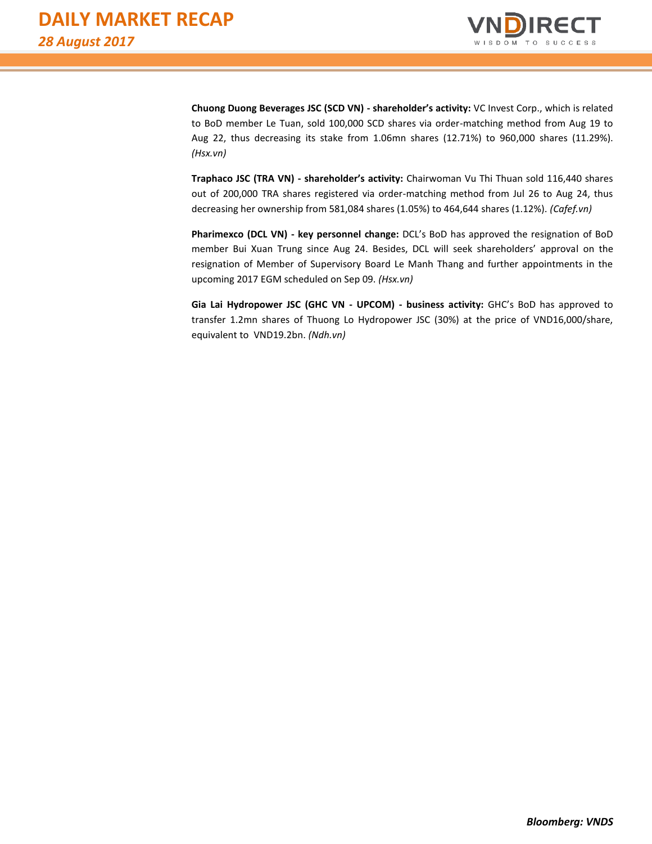

**Chuong Duong Beverages JSC (SCD VN) - shareholder's activity:** VC Invest Corp., which is related to BoD member Le Tuan, sold 100,000 SCD shares via order-matching method from Aug 19 to Aug 22, thus decreasing its stake from 1.06mn shares (12.71%) to 960,000 shares (11.29%). *(Hsx.vn)*

**Traphaco JSC (TRA VN) - shareholder's activity:** Chairwoman Vu Thi Thuan sold 116,440 shares out of 200,000 TRA shares registered via order-matching method from Jul 26 to Aug 24, thus decreasing her ownership from 581,084 shares (1.05%) to 464,644 shares (1.12%). *(Cafef.vn)*

**Pharimexco (DCL VN) - key personnel change:** DCL's BoD has approved the resignation of BoD member Bui Xuan Trung since Aug 24. Besides, DCL will seek shareholders' approval on the resignation of Member of Supervisory Board Le Manh Thang and further appointments in the upcoming 2017 EGM scheduled on Sep 09. *(Hsx.vn)*

**Gia Lai Hydropower JSC (GHC VN - UPCOM) - business activity:** GHC's BoD has approved to transfer 1.2mn shares of Thuong Lo Hydropower JSC (30%) at the price of VND16,000/share, equivalent to VND19.2bn. *(Ndh.vn)*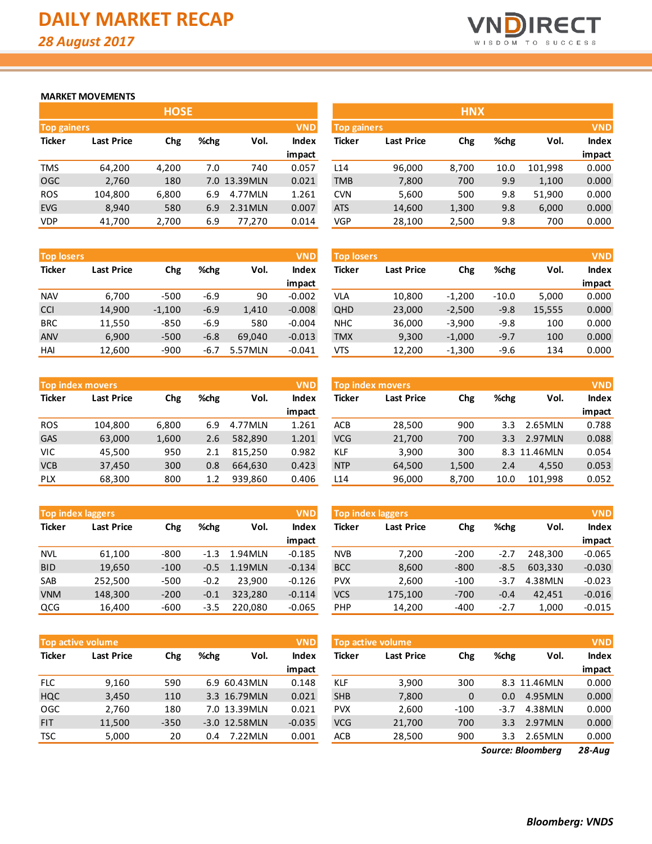

#### **MARKET MOVEMENTS**

|                                  | <b>HOSE</b>       |       |      |              |              |  |  |  |  |  |  |  |
|----------------------------------|-------------------|-------|------|--------------|--------------|--|--|--|--|--|--|--|
| <b>VND</b><br><b>Top gainers</b> |                   |       |      |              |              |  |  |  |  |  |  |  |
| <b>Ticker</b>                    | <b>Last Price</b> | Chg   | %chg | Vol.         | <b>Index</b> |  |  |  |  |  |  |  |
|                                  |                   |       |      |              | impact       |  |  |  |  |  |  |  |
| <b>TMS</b>                       | 64,200            | 4,200 | 7.0  | 740          | 0.057        |  |  |  |  |  |  |  |
| OGC                              | 2,760             | 180   |      | 7.0 13.39MLN | 0.021        |  |  |  |  |  |  |  |
| <b>ROS</b>                       | 104,800           | 6,800 | 6.9  | 4.77MLN      | 1.261        |  |  |  |  |  |  |  |
| <b>EVG</b>                       | 8,940             | 580   | 6.9  | 2.31MLN      | 0.007        |  |  |  |  |  |  |  |
| VDP                              | 41,700            | 2,700 | 6.9  | 77,270       | 0.014        |  |  |  |  |  |  |  |

| <b>Top losers</b> |                   |          |        |         | <b>VND</b>   |
|-------------------|-------------------|----------|--------|---------|--------------|
| <b>Ticker</b>     | <b>Last Price</b> | Chg      | %chg   | Vol.    | <b>Index</b> |
|                   |                   |          |        |         | impact       |
| <b>NAV</b>        | 6,700             | $-500$   | $-6.9$ | 90      | $-0.002$     |
| <b>CCI</b>        | 14,900            | $-1,100$ | $-6.9$ | 1,410   | $-0.008$     |
| <b>BRC</b>        | 11,550            | $-850$   | $-6.9$ | 580     | $-0.004$     |
| <b>ANV</b>        | 6,900             | $-500$   | $-6.8$ | 69,040  | $-0.013$     |
| HAI               | 12,600            | $-900$   | $-6.7$ | 5.57MLN | $-0.041$     |

|               | <b>VND</b><br><b>Top index movers</b> |       |      |         |              |  |  |  |  |  |  |  |
|---------------|---------------------------------------|-------|------|---------|--------------|--|--|--|--|--|--|--|
| <b>Ticker</b> | <b>Last Price</b>                     | Chg   | %chg | Vol.    | <b>Index</b> |  |  |  |  |  |  |  |
|               |                                       |       |      |         | impact       |  |  |  |  |  |  |  |
| <b>ROS</b>    | 104,800                               | 6,800 | 6.9  | 4.77MLN | 1.261        |  |  |  |  |  |  |  |
| GAS           | 63,000                                | 1,600 | 2.6  | 582,890 | 1.201        |  |  |  |  |  |  |  |
| VIC           | 45,500                                | 950   | 2.1  | 815,250 | 0.982        |  |  |  |  |  |  |  |
| <b>VCB</b>    | 37,450                                | 300   | 0.8  | 664,630 | 0.423        |  |  |  |  |  |  |  |
| <b>PLX</b>    | 68,300                                | 800   | 1.2  | 939,860 | 0.406        |  |  |  |  |  |  |  |

|               | <b>VND</b><br><b>Top index laggers</b> |        |        |         |              |  |  |  |  |  |  |  |
|---------------|----------------------------------------|--------|--------|---------|--------------|--|--|--|--|--|--|--|
| <b>Ticker</b> | <b>Last Price</b>                      | Chg    | %chg   | Vol.    | <b>Index</b> |  |  |  |  |  |  |  |
|               |                                        |        |        |         | impact       |  |  |  |  |  |  |  |
| <b>NVL</b>    | 61,100                                 | $-800$ | $-1.3$ | 1.94MLN | $-0.185$     |  |  |  |  |  |  |  |
| <b>BID</b>    | 19,650                                 | $-100$ | $-0.5$ | 1.19MLN | $-0.134$     |  |  |  |  |  |  |  |
| <b>SAB</b>    | 252,500                                | $-500$ | $-0.2$ | 23.900  | $-0.126$     |  |  |  |  |  |  |  |
| <b>VNM</b>    | 148,300                                | $-200$ | $-0.1$ | 323,280 | $-0.114$     |  |  |  |  |  |  |  |
| QCG           | 16,400                                 | $-600$ | $-3.5$ | 220,080 | $-0.065$     |  |  |  |  |  |  |  |

|               | <b>Top active volume</b> |        |      |               | <b>VND</b>   |
|---------------|--------------------------|--------|------|---------------|--------------|
| <b>Ticker</b> | <b>Last Price</b>        | Chg    | %chg | Vol.          | <b>Index</b> |
|               |                          |        |      |               | impact       |
| <b>FLC</b>    | 9,160                    | 590    |      | 6.9 60.43MLN  | 0.148        |
| <b>HQC</b>    | 3,450                    | 110    |      | 3.3 16.79MLN  | 0.021        |
| <b>OGC</b>    | 2,760                    | 180    |      | 7.0 13.39MLN  | 0.021        |
| <b>FIT</b>    | 11,500                   | $-350$ |      | -3.0 12.58MLN | $-0.035$     |
| <b>TSC</b>    | 5,000                    | 20     | 0.4  | 7.22MLN       | 0.001        |

|                                  |                   | <b>HOSE</b> |      |              |        | <b>HNX</b>                |                   |       |      |         |              |  |
|----------------------------------|-------------------|-------------|------|--------------|--------|---------------------------|-------------------|-------|------|---------|--------------|--|
| <b>VND</b><br><b>Top gainers</b> |                   |             |      |              |        | <b>VND</b><br>Top gainers |                   |       |      |         |              |  |
| Ticker                           | <b>Last Price</b> | Chg         | %chg | Vol.         | Index  | <b>Ticker</b>             | <b>Last Price</b> | Chg   | %chg | Vol.    | <b>Index</b> |  |
|                                  |                   |             |      |              | impact |                           |                   |       |      |         | impact       |  |
| TMS                              | 64,200            | 4,200       | 7.0  | 740          | 0.057  | L14                       | 96,000            | 8,700 | 10.0 | 101,998 | 0.000        |  |
| OGC                              | 2,760             | 180         |      | 7.0 13.39MLN | 0.021  | <b>TMB</b>                | 7,800             | 700   | 9.9  | 1,100   | 0.000        |  |
| <b>ROS</b>                       | 104,800           | 6,800       | 6.9  | 4.77MLN      | 1.261  | <b>CVN</b>                | 5,600             | 500   | 9.8  | 51,900  | 0.000        |  |
| <b>EVG</b>                       | 8,940             | 580         | 6.9  | 2.31MLN      | 0.007  | <b>ATS</b>                | 14,600            | 1,300 | 9.8  | 6,000   | 0.000        |  |
| VDP.                             | 41,700            | 2,700       | 6.9  | 77.270       | 0.014  | VGP                       | 28,100            | 2,500 | 9.8  | 700     | 0.000        |  |

|            | <b>VND</b><br><b>Top losers</b> |          |        |         |          |               | <b>VND</b><br><b>Top losers</b> |          |         |        |        |  |
|------------|---------------------------------|----------|--------|---------|----------|---------------|---------------------------------|----------|---------|--------|--------|--|
| Ticker     | <b>Last Price</b>               | Chg      | %chg   | Vol.    | Index    | <b>Ticker</b> | <b>Last Price</b>               | Chg      | %chg    | Vol.   | Index  |  |
|            |                                 |          |        |         | impact   |               |                                 |          |         |        | impact |  |
| <b>NAV</b> | 6,700                           | $-500$   | $-6.9$ | 90      | $-0.002$ | <b>VLA</b>    | 10,800                          | $-1.200$ | $-10.0$ | 5,000  | 0.000  |  |
| <b>CCI</b> | 14,900                          | $-1,100$ | $-6.9$ | 1,410   | $-0.008$ | QHD           | 23,000                          | $-2,500$ | $-9.8$  | 15,555 | 0.000  |  |
| <b>BRC</b> | 11,550                          | $-850$   | $-6.9$ | 580     | $-0.004$ | <b>NHC</b>    | 36,000                          | $-3,900$ | $-9.8$  | 100    | 0.000  |  |
| <b>ANV</b> | 6,900                           | $-500$   | $-6.8$ | 69.040  | $-0.013$ | <b>TMX</b>    | 9,300                           | $-1,000$ | $-9.7$  | 100    | 0.000  |  |
| HAI        | 12,600                          | $-900$   | -6.7   | 5.57MLN | $-0.041$ | <b>VTS</b>    | 12,200                          | $-1,300$ | $-9.6$  | 134    | 0.000  |  |

|            | <b>Top index movers</b>           |       |       |         | <b>VND</b>        | Top index movers |        |       |              |              |        |
|------------|-----------------------------------|-------|-------|---------|-------------------|------------------|--------|-------|--------------|--------------|--------|
| Ticker     | %chg<br>Vol.<br>Last Price<br>Chg |       | Index | Ticker  | <b>Last Price</b> | Chg              | %chg   | Vol.  | <b>Index</b> |              |        |
|            |                                   |       |       |         | impact            |                  |        |       |              |              | impact |
| <b>ROS</b> | 104.800                           | 6,800 | 6.9   | 4.77MLN | 1.261             | <b>ACB</b>       | 28,500 | 900   | 3.3          | 2.65MLN      | 0.788  |
| GAS        | 63,000                            | 1,600 | 2.6   | 582.890 | 1.201             | <b>VCG</b>       | 21,700 | 700   | 3.3          | 2.97MLN      | 0.088  |
| VIC        | 45,500                            | 950   | 2.1   | 815.250 | 0.982             | <b>KLF</b>       | 3,900  | 300   |              | 8.3 11.46MLN | 0.054  |
| VCB        | 37,450                            | 300   | 0.8   | 664.630 | 0.423             | <b>NTP</b>       | 64,500 | 1,500 | 2.4          | 4.550        | 0.053  |
| PLX        | 68,300                            | 800   | 1.2   | 939,860 | 0.406             | L14              | 96,000 | 8,700 | 10.0         | 101,998      | 0.052  |
|            |                                   |       |       |         |                   |                  |        |       |              |              |        |

| <b>Top index laggers</b><br><b>VND</b> |                                  |        |        |              |                             | <b>Top index laggers</b> |         |        |        |         |          |
|----------------------------------------|----------------------------------|--------|--------|--------------|-----------------------------|--------------------------|---------|--------|--------|---------|----------|
| Ticker                                 | %chg<br>Chg<br><b>Last Price</b> |        | Vol.   | <b>Index</b> | Ticker<br><b>Last Price</b> |                          | Chg     | %chg   | Vol.   | Index   |          |
|                                        |                                  |        |        |              | impact                      |                          |         |        |        |         | impact   |
| <b>NVL</b>                             | 61,100                           | $-800$ | $-1.3$ | 1.94 MLN     | $-0.185$                    | <b>NVB</b>               | 7,200   | $-200$ | $-2.7$ | 248.300 | $-0.065$ |
| <b>BID</b>                             | 19,650                           | $-100$ | $-0.5$ | 1.19MLN      | $-0.134$                    | <b>BCC</b>               | 8,600   | $-800$ | $-8.5$ | 603.330 | $-0.030$ |
| SAB                                    | 252.500                          | $-500$ | $-0.2$ | 23.900       | $-0.126$                    | <b>PVX</b>               | 2,600   | $-100$ | -3.7   | 4.38MLN | $-0.023$ |
| <b>VNM</b>                             | 148,300                          | $-200$ | $-0.1$ | 323.280      | $-0.114$                    | <b>VCS</b>               | 175,100 | $-700$ | $-0.4$ | 42.451  | $-0.016$ |
| QCG                                    | 16,400                           | $-600$ | $-3.5$ | 220,080      | $-0.065$                    | <b>PHP</b>               | 14,200  | $-400$ | $-2.7$ | 1,000   | $-0.015$ |

|            | Top active volume ' |        |      |                 | <b>VND</b> | Top active volume |                   |              |                  |              |        |
|------------|---------------------|--------|------|-----------------|------------|-------------------|-------------------|--------------|------------------|--------------|--------|
| Ticker     | <b>Last Price</b>   | Chg    | %chg | Vol.            | Index      | Ticker            | <b>Last Price</b> | Chg          | %chg             | Vol.         | Index  |
|            |                     |        |      |                 | impact     |                   |                   |              |                  |              | impact |
| <b>FLC</b> | 9,160               | 590    |      | 6.9 60.43MLN    | 0.148      | <b>KLF</b>        | 3,900             | 300          |                  | 8.3 11.46MLN | 0.000  |
| HQC        | 3,450               | 110    |      | 3.3 16.79MLN    | 0.021      | <b>SHB</b>        | 7,800             | $\mathbf{0}$ | 0.0              | 4.95MLN      | 0.000  |
| OGC        | 2,760               | 180    |      | 7.0 13.39MLN    | 0.021      | <b>PVX</b>        | 2,600             | $-100$       | $-3.7$           | 4.38MLN      | 0.000  |
| <b>FIT</b> | 11,500              | $-350$ |      | $-3.0$ 12.58MLN | $-0.035$   | <b>VCG</b>        | 21,700            | 700          | 3.3 <sup>2</sup> | 2.97MLN      | 0.000  |
| TSC        | 5,000               | 20     | 0.4  | 7.22MLN         | 0.001      | ACB               | 28,500            | 900          | 3.3              | 2.65MLN      | 0.000  |

*28-Aug Source: Bloomberg*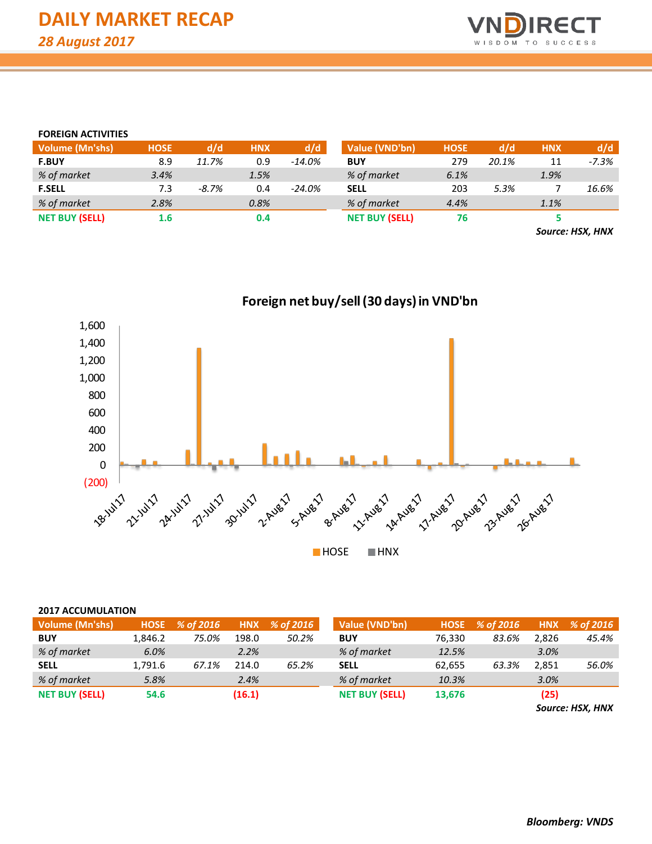

### **FOREIGN ACTIVITIES**

| <b>Volume (Mn'shs)</b> | <b>HOSE</b> | d/d   | <b>HNX</b> | d/d       | Value (VND'bn)        | <b>HOSE</b> | d/d   | <b>HNX</b> | d/d     |
|------------------------|-------------|-------|------------|-----------|-----------------------|-------------|-------|------------|---------|
| <b>F.BUY</b>           | 8.9         | 11.7% | 0.9        | $-14.0%$  | <b>BUY</b>            | 279         | 20.1% | 11         | $-7.3%$ |
| % of market            | 3.4%        |       | 1.5%       |           | % of market           | 6.1%        |       | 1.9%       |         |
| <b>F.SELL</b>          | 7.3         | -8.7% | 0.4        | $-24.0\%$ | <b>SELL</b>           | 203         | 5.3%  |            | 16.6%   |
| % of market            | 2.8%        |       | 0.8%       |           | % of market           | 4.4%        |       | 1.1%       |         |
| <b>NET BUY (SELL)</b>  | 1.6         |       | 0.4        |           | <b>NET BUY (SELL)</b> | 76          |       |            |         |
|                        |             |       |            |           |                       |             |       |            |         |

*Source: HSX, HNX*



| <b>Volume (Mn'shs)</b> | <b>HOSE</b> | % of 2016 | <b>HNX</b> | % of 2016 | Value (VND'bn)        |        | HOSE % of 2016 | <b>HNX</b> | % of 2016       |
|------------------------|-------------|-----------|------------|-----------|-----------------------|--------|----------------|------------|-----------------|
| <b>BUY</b>             | 1.846.2     | 75.0%     | 198.0      | 50.2%     | <b>BUY</b>            | 76.330 | 83.6%          | 2.826      | 45.4%           |
| % of market            | 6.0%        |           | 2.2%       |           | % of market           | 12.5%  |                | 3.0%       |                 |
| <b>SELL</b>            | 1,791.6     | 67.1%     | 214.0      | 65.2%     | <b>SELL</b>           | 62,655 | 63.3%          | 2.851      | 56.0%           |
| % of market            | 5.8%        |           | 2.4%       |           | % of market           | 10.3%  |                | 3.0%       |                 |
| <b>NET BUY (SELL)</b>  | 54.6        |           | (16.1)     |           | <b>NET BUY (SELL)</b> | 13,676 |                | (25)       |                 |
|                        |             |           |            |           |                       |        |                |            | Course HCV HAIV |

*Source: HSX, HNX*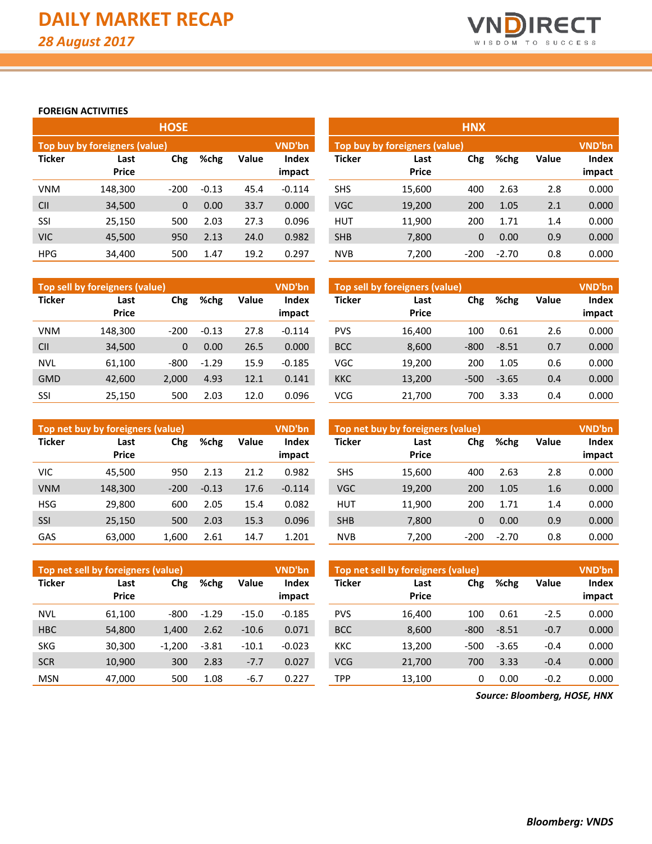

## **FOREIGN ACTIVITIES**

|               |                               | <b>HOSE</b>  |         |              |                               | <b>HNX</b>    |                      |          |
|---------------|-------------------------------|--------------|---------|--------------|-------------------------------|---------------|----------------------|----------|
|               | Top buy by foreigners (value) |              | VND'bn  |              | Top buy by foreigners (value) |               |                      |          |
| <b>Ticker</b> | Last<br><b>Price</b>          | Chg          | %chg    | <b>Value</b> | Index<br>impact               | <b>Ticker</b> | Last<br><b>Price</b> | Chg      |
| <b>VNM</b>    | 148,300                       | $-200$       | $-0.13$ | 45.4         | $-0.114$                      | <b>SHS</b>    | 15,600               | 400      |
| <b>CII</b>    | 34,500                        | $\mathbf{0}$ | 0.00    | 33.7         | 0.000                         | <b>VGC</b>    | 19,200               | 200      |
| SSI           | 25,150                        | 500          | 2.03    | 27.3         | 0.096                         | <b>HUT</b>    | 11,900               | 200      |
| <b>VIC</b>    | 45,500                        | 950          | 2.13    | 24.0         | 0.982                         | <b>SHB</b>    | 7,800                | $\Omega$ |
| <b>HPG</b>    | 34,400                        | 500          | 1.47    | 19.2         | 0.297                         | <b>NVB</b>    | 7.200                | $-200$   |

|            |                               | <b>HOSE</b>  |         |       |                 | <b>HNX</b>    |                                                |          |         |              |                 |  |  |
|------------|-------------------------------|--------------|---------|-------|-----------------|---------------|------------------------------------------------|----------|---------|--------------|-----------------|--|--|
|            | Top buy by foreigners (value) |              |         |       | VND'bn          |               | <b>VND'bn</b><br>Top buy by foreigners (value) |          |         |              |                 |  |  |
| Ticker     | Last<br><b>Price</b>          | Chg          | %chg    | Value | Index<br>impact | <b>Ticker</b> | Last<br><b>Price</b>                           | Chg      | %chg    | <b>Value</b> | Index<br>impact |  |  |
| VNM        | 148,300                       | $-200$       | $-0.13$ | 45.4  | $-0.114$        | <b>SHS</b>    | 15,600                                         | 400      | 2.63    | 2.8          | 0.000           |  |  |
| CII        | 34,500                        | $\mathbf{0}$ | 0.00    | 33.7  | 0.000           | <b>VGC</b>    | 19,200                                         | 200      | 1.05    | 2.1          | 0.000           |  |  |
| SSI        | 25,150                        | 500          | 2.03    | 27.3  | 0.096           | <b>HUT</b>    | 11,900                                         | 200      | 1.71    | 1.4          | 0.000           |  |  |
| <b>VIC</b> | 45,500                        | 950          | 2.13    | 24.0  | 0.982           | <b>SHB</b>    | 7,800                                          | $\Omega$ | 0.00    | 0.9          | 0.000           |  |  |
| <b>HPG</b> | 34,400                        | 500          | 1.47    | 19.2  | 0.297           | <b>NVB</b>    | 7,200                                          | $-200$   | $-2.70$ | 0.8          | 0.000           |  |  |

|               | Top sell by foreigners (value) |                      |         |                 | VND'bn        | Top sell by foreigners (value) |        |        |         |  |
|---------------|--------------------------------|----------------------|---------|-----------------|---------------|--------------------------------|--------|--------|---------|--|
| <b>Ticker</b> | Last<br><b>Price</b>           | Chg<br>%chg<br>Value |         | Index<br>impact | <b>Ticker</b> | Last<br><b>Price</b>           | Chg    | %chg   |         |  |
| <b>VNM</b>    | 148,300                        | $-200$               | $-0.13$ | 27.8            | $-0.114$      | <b>PVS</b>                     | 16.400 | 100    | 0.61    |  |
| <b>CII</b>    | 34,500                         | 0                    | 0.00    | 26.5            | 0.000         | <b>BCC</b>                     | 8,600  | $-800$ | $-8.51$ |  |
| <b>NVL</b>    | 61.100                         | -800                 | $-1.29$ | 15.9            | $-0.185$      | VGC                            | 19,200 | 200    | 1.05    |  |
| <b>GMD</b>    | 42.600                         | 2.000                | 4.93    | 12.1            | 0.141         | <b>KKC</b>                     | 13,200 | $-500$ | $-3.65$ |  |
| SSI           | 25.150                         | 500                  | 2.03    | 12.0            | 0.096         | VCG                            | 21,700 | 700    | 3.33    |  |

|               | Top net buy by foreigners (value) |        |         |       | VND'bn                 | Top net buy by foreigners (value) |                      |        |         |              |
|---------------|-----------------------------------|--------|---------|-------|------------------------|-----------------------------------|----------------------|--------|---------|--------------|
| <b>Ticker</b> | Last<br><b>Price</b>              | Chg    | %chg    | Value | <b>Index</b><br>impact | <b>Ticker</b>                     | Last<br><b>Price</b> | Chg    | %chg    | <b>Value</b> |
| <b>VIC</b>    | 45.500                            | 950    | 2.13    | 21.2  | 0.982                  | <b>SHS</b>                        | 15.600               | 400    | 2.63    | 2.8          |
| <b>VNM</b>    | 148,300                           | $-200$ | $-0.13$ | 17.6  | $-0.114$               | <b>VGC</b>                        | 19,200               | 200    | 1.05    | 1.6          |
| <b>HSG</b>    | 29,800                            | 600    | 2.05    | 15.4  | 0.082                  | <b>HUT</b>                        | 11,900               | 200    | 1.71    | 1.4          |
| <b>SSI</b>    | 25,150                            | 500    | 2.03    | 15.3  | 0.096                  | <b>SHB</b>                        | 7,800                | 0      | 0.00    | 0.9          |
| GAS           | 63,000                            | 1,600  | 2.61    | 14.7  | 1.201                  | <b>NVB</b>                        | 7,200                | $-200$ | $-2.70$ | 0.8          |

| Top net sell by foreigners (value) |              |          |               |         | <b>VND'bn</b> | Top net sell by foreigners (value) |              |        |         |              | <b>VND'bn</b> |  |  |
|------------------------------------|--------------|----------|---------------|---------|---------------|------------------------------------|--------------|--------|---------|--------------|---------------|--|--|
| <b>Ticker</b>                      | Last         | Chg      | %chg<br>Value |         |               | <b>Ticker</b>                      | Chg<br>Last  |        |         | <b>Value</b> | Index         |  |  |
|                                    | <b>Price</b> |          |               |         | impact        |                                    | <b>Price</b> |        |         |              | impact        |  |  |
| <b>NVL</b>                         | 61.100       | $-800$   | $-1.29$       | $-15.0$ | $-0.185$      | <b>PVS</b>                         | 16.400       | 100    | 0.61    | $-2.5$       | 0.000         |  |  |
| <b>HBC</b>                         | 54,800       | 1,400    | 2.62          | $-10.6$ | 0.071         | <b>BCC</b>                         | 8,600        | $-800$ | $-8.51$ | $-0.7$       | 0.000         |  |  |
| <b>SKG</b>                         | 30.300       | $-1.200$ | $-3.81$       | $-10.1$ | $-0.023$      | <b>KKC</b>                         | 13.200       | $-500$ | $-3.65$ | $-0.4$       | 0.000         |  |  |
| <b>SCR</b>                         | 10,900       | 300      | 2.83          | $-7.7$  | 0.027         | <b>VCG</b>                         | 21.700       | 700    | 3.33    | $-0.4$       | 0.000         |  |  |
| <b>MSN</b>                         | 47.000       | 500      | 1.08          | -6.7    | 0.227         | TPP                                | 13,100       | 0      | 0.00    | $-0.2$       | 0.000         |  |  |

*Source: Bloomberg, HOSE, HNX*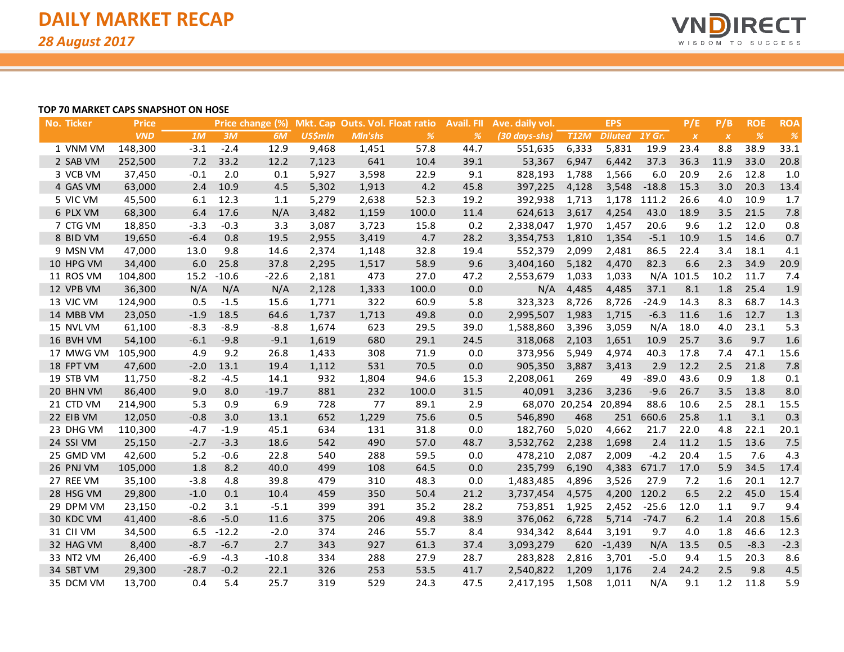

#### **TOP 70 MARKET CAPS SNAPSHOT ON HOSE**

| <b>No. Ticker</b> | <b>Price</b> |         |         | Price change (%) |                |                | Mkt. Cap Outs. Vol. Float ratio | <b>Avail. FII</b> | Ave. daily vol. |                      | <b>EPS</b>     |         | P/E              | P/B              | <b>ROE</b>    | <b>ROA</b> |
|-------------------|--------------|---------|---------|------------------|----------------|----------------|---------------------------------|-------------------|-----------------|----------------------|----------------|---------|------------------|------------------|---------------|------------|
|                   | <b>VND</b>   | 1M      | 3M      | 6M               | <b>US\$mln</b> | <b>MIn'shs</b> | %                               | %                 | (30 days-shs)   | <b>T12M</b>          | <b>Diluted</b> | 1Y Gr.  | $\boldsymbol{X}$ | $\boldsymbol{X}$ | $\frac{o}{o}$ | %          |
| 1 VNM VM          | 148,300      | $-3.1$  | $-2.4$  | 12.9             | 9,468          | 1,451          | 57.8                            | 44.7              | 551,635         | 6,333                | 5,831          | 19.9    | 23.4             | 8.8              | 38.9          | 33.1       |
| 2 SAB VM          | 252,500      | $7.2$   | 33.2    | 12.2             | 7,123          | 641            | 10.4                            | 39.1              | 53,367          | 6,947                | 6,442          | 37.3    | 36.3             | 11.9             | 33.0          | 20.8       |
| 3 VCB VM          | 37,450       | $-0.1$  | 2.0     | 0.1              | 5,927          | 3,598          | 22.9                            | 9.1               | 828,193         | 1,788                | 1,566          | 6.0     | 20.9             | 2.6              | 12.8          | 1.0        |
| 4 GAS VM          | 63,000       | 2.4     | 10.9    | 4.5              | 5,302          | 1,913          | 4.2                             | 45.8              | 397,225         | 4,128                | 3,548          | $-18.8$ | 15.3             | 3.0              | 20.3          | 13.4       |
| 5 VIC VM          | 45,500       | 6.1     | 12.3    | 1.1              | 5,279          | 2,638          | 52.3                            | 19.2              | 392,938         | 1,713                | 1,178          | 111.2   | 26.6             | 4.0              | 10.9          | 1.7        |
| 6 PLX VM          | 68,300       | 6.4     | 17.6    | N/A              | 3,482          | 1,159          | 100.0                           | 11.4              | 624,613         | 3,617                | 4,254          | 43.0    | 18.9             | 3.5              | 21.5          | 7.8        |
| 7 CTG VM          | 18,850       | $-3.3$  | $-0.3$  | 3.3              | 3,087          | 3,723          | 15.8                            | 0.2               | 2,338,047       | 1,970                | 1,457          | 20.6    | 9.6              | 1.2              | 12.0          | 0.8        |
| 8 BID VM          | 19,650       | $-6.4$  | 0.8     | 19.5             | 2,955          | 3,419          | 4.7                             | 28.2              | 3,354,753       | 1,810                | 1,354          | $-5.1$  | 10.9             | 1.5              | 14.6          | 0.7        |
| 9 MSN VM          | 47,000       | 13.0    | 9.8     | 14.6             | 2,374          | 1,148          | 32.8                            | 19.4              | 552,379         | 2,099                | 2,481          | 86.5    | 22.4             | 3.4              | 18.1          | 4.1        |
| 10 HPG VM         | 34,400       | 6.0     | 25.8    | 37.8             | 2,295          | 1,517          | 58.9                            | 9.6               | 3,404,160       | 5,182                | 4,470          | 82.3    | 6.6              | 2.3              | 34.9          | 20.9       |
| 11 ROS VM         | 104,800      | 15.2    | $-10.6$ | $-22.6$          | 2,181          | 473            | 27.0                            | 47.2              | 2,553,679       | 1,033                | 1,033          |         | N/A 101.5        | 10.2             | 11.7          | 7.4        |
| 12 VPB VM         | 36,300       | N/A     | N/A     | N/A              | 2,128          | 1,333          | 100.0                           | 0.0               | N/A             | 4,485                | 4,485          | 37.1    | 8.1              | 1.8              | 25.4          | 1.9        |
| 13 VJC VM         | 124,900      | 0.5     | $-1.5$  | 15.6             | 1,771          | 322            | 60.9                            | 5.8               | 323,323         | 8,726                | 8,726          | $-24.9$ | 14.3             | 8.3              | 68.7          | 14.3       |
| 14 MBB VM         | 23,050       | $-1.9$  | 18.5    | 64.6             | 1,737          | 1,713          | 49.8                            | 0.0               | 2,995,507       | 1,983                | 1,715          | $-6.3$  | 11.6             | 1.6              | 12.7          | 1.3        |
| 15 NVL VM         | 61,100       | $-8.3$  | $-8.9$  | $-8.8$           | 1,674          | 623            | 29.5                            | 39.0              | 1,588,860       | 3,396                | 3,059          | N/A     | 18.0             | 4.0              | 23.1          | 5.3        |
| 16 BVH VM         | 54,100       | $-6.1$  | $-9.8$  | $-9.1$           | 1,619          | 680            | 29.1                            | 24.5              | 318,068         | 2,103                | 1,651          | 10.9    | 25.7             | 3.6              | 9.7           | 1.6        |
| 17 MWG VM         | 105,900      | 4.9     | 9.2     | 26.8             | 1,433          | 308            | 71.9                            | 0.0               | 373,956         | 5,949                | 4,974          | 40.3    | 17.8             | 7.4              | 47.1          | 15.6       |
| 18 FPT VM         | 47,600       | $-2.0$  | 13.1    | 19.4             | 1,112          | 531            | 70.5                            | 0.0               | 905,350         | 3,887                | 3,413          | 2.9     | 12.2             | 2.5              | 21.8          | 7.8        |
| 19 STB VM         | 11,750       | $-8.2$  | $-4.5$  | 14.1             | 932            | 1,804          | 94.6                            | 15.3              | 2,208,061       | 269                  | 49             | $-89.0$ | 43.6             | 0.9              | 1.8           | 0.1        |
| 20 BHN VM         | 86,400       | 9.0     | 8.0     | $-19.7$          | 881            | 232            | 100.0                           | 31.5              | 40,091          | 3,236                | 3,236          | $-9.6$  | 26.7             | 3.5              | 13.8          | 8.0        |
| 21 CTD VM         | 214,900      | 5.3     | 0.9     | 6.9              | 728            | 77             | 89.1                            | 2.9               |                 | 68,070 20,254 20,894 |                | 88.6    | 10.6             | 2.5              | 28.1          | 15.5       |
| 22 EIB VM         | 12,050       | $-0.8$  | 3.0     | 13.1             | 652            | 1,229          | 75.6                            | 0.5               | 546,890         | 468                  | 251            | 660.6   | 25.8             | 1.1              | 3.1           | 0.3        |
| 23 DHG VM         | 110,300      | $-4.7$  | $-1.9$  | 45.1             | 634            | 131            | 31.8                            | 0.0               | 182,760         | 5,020                | 4,662          | 21.7    | 22.0             | 4.8              | 22.1          | 20.1       |
| 24 SSI VM         | 25,150       | $-2.7$  | $-3.3$  | 18.6             | 542            | 490            | 57.0                            | 48.7              | 3,532,762       | 2,238                | 1,698          | 2.4     | 11.2             | 1.5              | 13.6          | 7.5        |
| 25 GMD VM         | 42,600       | 5.2     | $-0.6$  | 22.8             | 540            | 288            | 59.5                            | 0.0               | 478,210         | 2,087                | 2,009          | $-4.2$  | 20.4             | 1.5              | 7.6           | 4.3        |
| 26 PNJ VM         | 105,000      | 1.8     | 8.2     | 40.0             | 499            | 108            | 64.5                            | 0.0               | 235,799         | 6,190                | 4,383          | 671.7   | 17.0             | 5.9              | 34.5          | 17.4       |
| 27 REE VM         | 35,100       | $-3.8$  | 4.8     | 39.8             | 479            | 310            | 48.3                            | 0.0               | 1,483,485       | 4,896                | 3,526          | 27.9    | 7.2              | 1.6              | 20.1          | 12.7       |
| 28 HSG VM         | 29,800       | $-1.0$  | 0.1     | 10.4             | 459            | 350            | 50.4                            | 21.2              | 3,737,454       | 4,575                | 4,200 120.2    |         | 6.5              | 2.2              | 45.0          | 15.4       |
| 29 DPM VM         | 23,150       | $-0.2$  | 3.1     | $-5.1$           | 399            | 391            | 35.2                            | 28.2              | 753,851         | 1,925                | 2,452          | $-25.6$ | 12.0             | 1.1              | 9.7           | 9.4        |
| 30 KDC VM         | 41,400       | $-8.6$  | $-5.0$  | 11.6             | 375            | 206            | 49.8                            | 38.9              | 376,062         | 6,728                | 5,714          | $-74.7$ | 6.2              | 1.4              | 20.8          | 15.6       |
| 31 CII VM         | 34,500       | 6.5     | $-12.2$ | $-2.0$           | 374            | 246            | 55.7                            | 8.4               | 934,342         | 8,644                | 3,191          | 9.7     | 4.0              | 1.8              | 46.6          | 12.3       |
| 32 HAG VM         | 8,400        | $-8.7$  | $-6.7$  | 2.7              | 343            | 927            | 61.3                            | 37.4              | 3,093,279       | 620                  | $-1,439$       | N/A     | 13.5             | 0.5              | $-8.3$        | $-2.3$     |
| 33 NT2 VM         | 26,400       | $-6.9$  | $-4.3$  | $-10.8$          | 334            | 288            | 27.9                            | 28.7              | 283,828         | 2,816                | 3,701          | $-5.0$  | 9.4              | 1.5              | 20.3          | 8.6        |
| 34 SBT VM         | 29,300       | $-28.7$ | $-0.2$  | 22.1             | 326            | 253            | 53.5                            | 41.7              | 2,540,822       | 1,209                | 1,176          | 2.4     | 24.2             | 2.5              | 9.8           | 4.5        |
| 35 DCM VM         | 13,700       | 0.4     | 5.4     | 25.7             | 319            | 529            | 24.3                            | 47.5              | 2,417,195       | 1,508                | 1,011          | N/A     | 9.1              | 1.2              | 11.8          | 5.9        |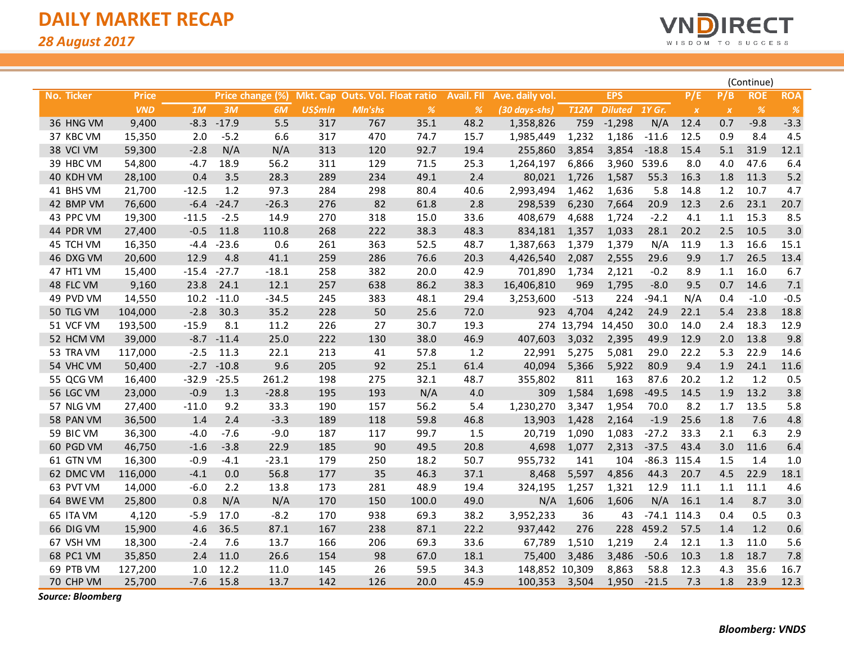

|            |              |         |         |                  |                |         |                                 |                   |                 |               |                |         |               | (Continue)       |            |            |  |
|------------|--------------|---------|---------|------------------|----------------|---------|---------------------------------|-------------------|-----------------|---------------|----------------|---------|---------------|------------------|------------|------------|--|
| No. Ticker | <b>Price</b> |         |         | Price change (%) |                |         | Mkt. Cap Outs. Vol. Float ratio | <b>Avail. FIL</b> | Ave. daily vol. |               | <b>EPS</b>     |         | P/E           | P/B              | <b>ROE</b> | <b>ROA</b> |  |
|            | <b>VND</b>   | 1M      | 3M      | 6M               | <b>US\$mln</b> | Mln'shs | $\%$                            | $\%$              | (30 days-shs)   | <b>T12M</b>   | <b>Diluted</b> | 1Y Gr.  | $\pmb{\chi}$  | $\boldsymbol{X}$ | %          | $\%$       |  |
| 36 HNG VM  | 9,400        | $-8.3$  | $-17.9$ | 5.5              | 317            | 767     | 35.1                            | 48.2              | 1,358,826       | 759           | $-1,298$       | N/A     | 12.4          | 0.7              | $-9.8$     | $-3.3$     |  |
| 37 KBC VM  | 15,350       | 2.0     | $-5.2$  | 6.6              | 317            | 470     | 74.7                            | 15.7              | 1,985,449       | 1,232         | 1,186          | $-11.6$ | 12.5          | 0.9              | 8.4        | 4.5        |  |
| 38 VCI VM  | 59,300       | $-2.8$  | N/A     | N/A              | 313            | 120     | 92.7                            | 19.4              | 255,860         | 3,854         | 3,854          | $-18.8$ | 15.4          | 5.1              | 31.9       | 12.1       |  |
| 39 HBC VM  | 54,800       | $-4.7$  | 18.9    | 56.2             | 311            | 129     | 71.5                            | 25.3              | 1,264,197       | 6,866         | 3,960          | 539.6   | 8.0           | 4.0              | 47.6       | 6.4        |  |
| 40 KDH VM  | 28,100       | 0.4     | 3.5     | 28.3             | 289            | 234     | 49.1                            | $2.4$             | 80,021          | 1,726         | 1,587          | 55.3    | 16.3          | 1.8              | 11.3       | 5.2        |  |
| 41 BHS VM  | 21,700       | $-12.5$ | 1.2     | 97.3             | 284            | 298     | 80.4                            | 40.6              | 2,993,494       | 1,462         | 1,636          | 5.8     | 14.8          | 1.2              | 10.7       | 4.7        |  |
| 42 BMP VM  | 76,600       | $-6.4$  | $-24.7$ | $-26.3$          | 276            | 82      | 61.8                            | 2.8               | 298,539         | 6,230         | 7,664          | 20.9    | 12.3          | 2.6              | 23.1       | 20.7       |  |
| 43 PPC VM  | 19,300       | $-11.5$ | $-2.5$  | 14.9             | 270            | 318     | 15.0                            | 33.6              | 408,679         | 4,688         | 1,724          | $-2.2$  | 4.1           | 1.1              | 15.3       | 8.5        |  |
| 44 PDR VM  | 27,400       | $-0.5$  | 11.8    | 110.8            | 268            | 222     | 38.3                            | 48.3              | 834,181         | 1,357         | 1,033          | 28.1    | 20.2          | 2.5              | 10.5       | 3.0        |  |
| 45 TCH VM  | 16,350       | $-4.4$  | $-23.6$ | 0.6              | 261            | 363     | 52.5                            | 48.7              | 1,387,663       | 1,379         | 1,379          | N/A     | 11.9          | 1.3              | 16.6       | 15.1       |  |
| 46 DXG VM  | 20,600       | 12.9    | 4.8     | 41.1             | 259            | 286     | 76.6                            | 20.3              | 4,426,540       | 2,087         | 2,555          | 29.6    | 9.9           | 1.7              | 26.5       | 13.4       |  |
| 47 HT1 VM  | 15,400       | $-15.4$ | $-27.7$ | $-18.1$          | 258            | 382     | 20.0                            | 42.9              | 701,890         | 1,734         | 2,121          | $-0.2$  | 8.9           | 1.1              | 16.0       | 6.7        |  |
| 48 FLC VM  | 9,160        | 23.8    | 24.1    | 12.1             | 257            | 638     | 86.2                            | 38.3              | 16,406,810      | 969           | 1,795          | $-8.0$  | 9.5           | 0.7              | 14.6       | 7.1        |  |
| 49 PVD VM  | 14,550       | 10.2    | $-11.0$ | $-34.5$          | 245            | 383     | 48.1                            | 29.4              | 3,253,600       | $-513$        | 224            | $-94.1$ | N/A           | 0.4              | $-1.0$     | $-0.5$     |  |
| 50 TLG VM  | 104,000      | $-2.8$  | 30.3    | 35.2             | 228            | 50      | 25.6                            | 72.0              | 923             | 4,704         | 4,242          | 24.9    | 22.1          | 5.4              | 23.8       | 18.8       |  |
| 51 VCF VM  | 193,500      | $-15.9$ | 8.1     | 11.2             | 226            | 27      | 30.7                            | 19.3              | 274             | 13,794 14,450 |                | 30.0    | 14.0          | 2.4              | 18.3       | 12.9       |  |
| 52 HCM VM  | 39,000       | $-8.7$  | $-11.4$ | 25.0             | 222            | 130     | 38.0                            | 46.9              | 407,603         | 3,032         | 2,395          | 49.9    | 12.9          | 2.0              | 13.8       | 9.8        |  |
| 53 TRA VM  | 117,000      | $-2.5$  | 11.3    | 22.1             | 213            | 41      | 57.8                            | 1.2               | 22,991          | 5,275         | 5,081          | 29.0    | 22.2          | 5.3              | 22.9       | 14.6       |  |
| 54 VHC VM  | 50,400       | $-2.7$  | $-10.8$ | 9.6              | 205            | 92      | 25.1                            | 61.4              | 40,094          | 5,366         | 5,922          | 80.9    | 9.4           | 1.9              | 24.1       | 11.6       |  |
| 55 QCG VM  | 16,400       | $-32.9$ | $-25.5$ | 261.2            | 198            | 275     | 32.1                            | 48.7              | 355,802         | 811           | 163            | 87.6    | 20.2          | 1.2              | 1.2        | 0.5        |  |
| 56 LGC VM  | 23,000       | $-0.9$  | 1.3     | $-28.8$          | 195            | 193     | N/A                             | 4.0               | 309             | 1,584         | 1,698          | $-49.5$ | 14.5          | 1.9              | 13.2       | 3.8        |  |
| 57 NLG VM  | 27,400       | $-11.0$ | 9.2     | 33.3             | 190            | 157     | 56.2                            | 5.4               | 1,230,270       | 3,347         | 1,954          | 70.0    | 8.2           | 1.7              | 13.5       | 5.8        |  |
| 58 PAN VM  | 36,500       | 1.4     | 2.4     | $-3.3$           | 189            | 118     | 59.8                            | 46.8              | 13,903          | 1,428         | 2,164          | $-1.9$  | 25.6          | 1.8              | 7.6        | 4.8        |  |
| 59 BIC VM  | 36,300       | $-4.0$  | $-7.6$  | $-9.0$           | 187            | 117     | 99.7                            | 1.5               | 20,719          | 1,090         | 1,083          | $-27.2$ | 33.3          | 2.1              | 6.3        | 2.9        |  |
| 60 PGD VM  | 46,750       | $-1.6$  | $-3.8$  | 22.9             | 185            | 90      | 49.5                            | 20.8              | 4,698           | 1,077         | 2,313          | $-37.5$ | 43.4          | 3.0              | 11.6       | 6.4        |  |
| 61 GTN VM  | 16,300       | $-0.9$  | $-4.1$  | $-23.1$          | 179            | 250     | 18.2                            | 50.7              | 955,732         | 141           | 104            |         | $-86.3$ 115.4 | 1.5              | 1.4        | 1.0        |  |
| 62 DMC VM  | 116,000      | $-4.1$  | 0.0     | 56.8             | 177            | 35      | 46.3                            | 37.1              | 8,468           | 5,597         | 4,856          | 44.3    | 20.7          | 4.5              | 22.9       | 18.1       |  |
| 63 PVT VM  | 14,000       | $-6.0$  | 2.2     | 13.8             | 173            | 281     | 48.9                            | 19.4              | 324,195         | 1,257         | 1,321          | 12.9    | 11.1          | 1.1              | 11.1       | 4.6        |  |
| 64 BWE VM  | 25,800       | 0.8     | N/A     | N/A              | 170            | 150     | 100.0                           | 49.0              | N/A             | 1,606         | 1,606          | N/A     | 16.1          | 1.4              | 8.7        | 3.0        |  |
| 65 ITA VM  | 4,120        | $-5.9$  | 17.0    | $-8.2$           | 170            | 938     | 69.3                            | 38.2              | 3,952,233       | 36            | 43             |         | $-74.1$ 114.3 | 0.4              | 0.5        | 0.3        |  |
| 66 DIG VM  | 15,900       | 4.6     | 36.5    | 87.1             | 167            | 238     | 87.1                            | 22.2              | 937,442         | 276           | 228            | 459.2   | 57.5          | 1.4              | 1.2        | 0.6        |  |
| 67 VSH VM  | 18,300       | $-2.4$  | 7.6     | 13.7             | 166            | 206     | 69.3                            | 33.6              | 67,789          | 1,510         | 1,219          | 2.4     | 12.1          | 1.3              | 11.0       | 5.6        |  |
| 68 PC1 VM  | 35,850       | 2.4     | 11.0    | 26.6             | 154            | 98      | 67.0                            | 18.1              | 75,400          | 3,486         | 3,486          | $-50.6$ | 10.3          | 1.8              | 18.7       | 7.8        |  |
| 69 PTB VM  | 127,200      | 1.0     | 12.2    | 11.0             | 145            | 26      | 59.5                            | 34.3              | 148,852 10,309  |               | 8,863          | 58.8    | 12.3          | 4.3              | 35.6       | 16.7       |  |
| 70 CHP VM  | 25,700       | $-7.6$  | 15.8    | 13.7             | 142            | 126     | 20.0                            | 45.9              | 100,353         | 3,504         | 1,950          | $-21.5$ | 7.3           | 1.8              | 23.9       | 12.3       |  |

*Source: Bloomberg*